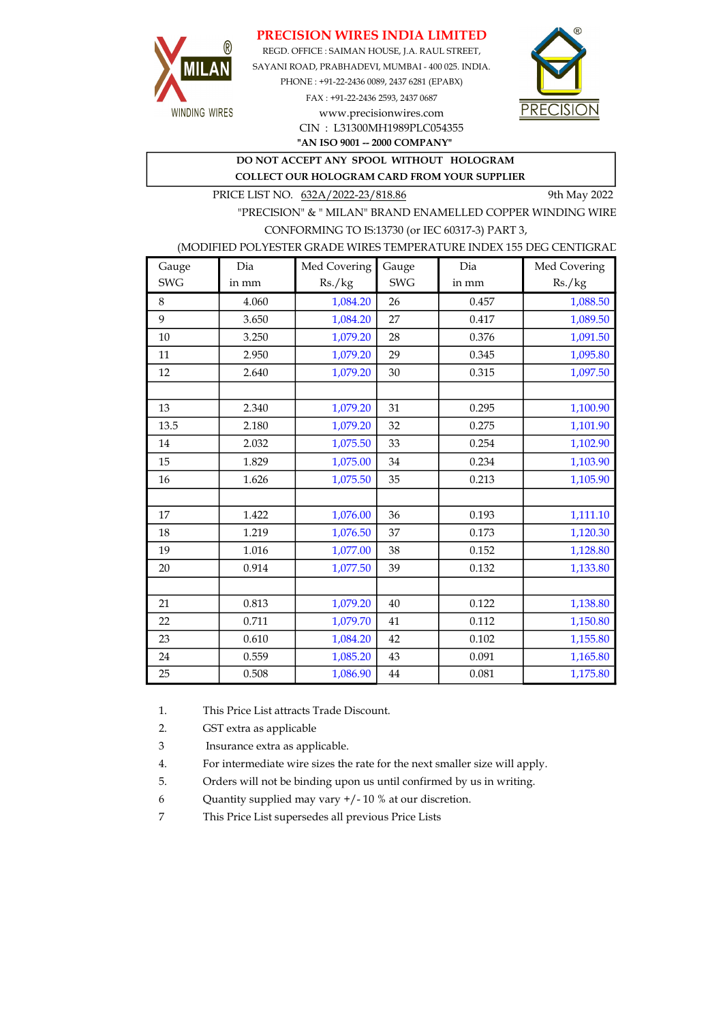## PRECISION WIRES INDIA LIMITED



REGD. OFFICE : SAIMAN HOUSE, J.A. RAUL STREET, SAYANI ROAD, PRABHADEVI, MUMBAI - 400 025. INDIA. PHONE : +91-22-2436 0089, 2437 6281 (EPABX) FAX : +91-22-2436 2593, 2437 0687 www.precisionwires.com



"AN ISO 9001 -- 2000 COMPANY" CIN : L31300MH1989PLC054355

DO NOT ACCEPT ANY SPOOL WITHOUT HOLOGRAM

COLLECT OUR HOLOGRAM CARD FROM YOUR SUPPLIER

PRICE LIST NO. 632A/2022-23/818.86 9th May 2022

"PRECISION" & " MILAN" BRAND ENAMELLED COPPER WINDING WIRE CONFORMING TO IS:13730 (or IEC 60317-3) PART 3,

### (MODIFIED POLYESTER GRADE WIRES TEMPERATURE INDEX 155 DEG CENTIGRAD

| Gauge      | Dia   | Med Covering | Gauge      | Dia   | Med Covering |
|------------|-------|--------------|------------|-------|--------------|
| <b>SWG</b> | in mm | Rs./kg       | <b>SWG</b> | in mm | Rs./kg       |
| 8          | 4.060 | 1,084.20     | 26         | 0.457 | 1,088.50     |
| 9          | 3.650 | 1,084.20     | 27         | 0.417 | 1,089.50     |
| 10         | 3.250 | 1,079.20     | 28         | 0.376 | 1,091.50     |
| 11         | 2.950 | 1,079.20     | 29         | 0.345 | 1,095.80     |
| 12         | 2.640 | 1,079.20     | 30         | 0.315 | 1,097.50     |
|            |       |              |            |       |              |
| 13         | 2.340 | 1,079.20     | 31         | 0.295 | 1,100.90     |
| 13.5       | 2.180 | 1,079.20     | 32         | 0.275 | 1,101.90     |
| 14         | 2.032 | 1,075.50     | 33         | 0.254 | 1,102.90     |
| 15         | 1.829 | 1,075.00     | 34         | 0.234 | 1,103.90     |
| 16         | 1.626 | 1,075.50     | 35         | 0.213 | 1,105.90     |
|            |       |              |            |       |              |
| 17         | 1.422 | 1,076.00     | 36         | 0.193 | 1,111.10     |
| 18         | 1.219 | 1,076.50     | 37         | 0.173 | 1,120.30     |
| 19         | 1.016 | 1,077.00     | 38         | 0.152 | 1,128.80     |
| 20         | 0.914 | 1,077.50     | 39         | 0.132 | 1,133.80     |
|            |       |              |            |       |              |
| 21         | 0.813 | 1,079.20     | 40         | 0.122 | 1,138.80     |
| 22         | 0.711 | 1,079.70     | 41         | 0.112 | 1,150.80     |
| 23         | 0.610 | 1,084.20     | 42         | 0.102 | 1,155.80     |
| 24         | 0.559 | 1,085.20     | 43         | 0.091 | 1,165.80     |
| 25         | 0.508 | 1,086.90     | 44         | 0.081 | 1,175.80     |

1. This Price List attracts Trade Discount.

2. GST extra as applicable

3 Insurance extra as applicable.

4. For intermediate wire sizes the rate for the next smaller size will apply.

5. Orders will not be binding upon us until confirmed by us in writing.

6 Quantity supplied may vary +/- 10 % at our discretion.

7 This Price List supersedes all previous Price Lists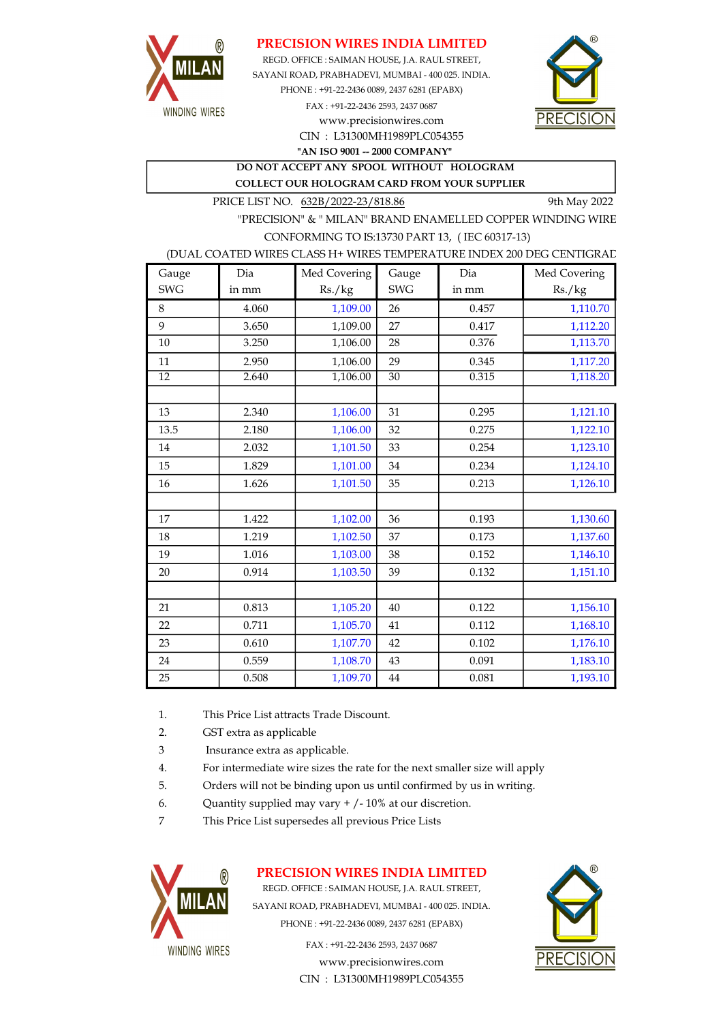

## PRECISION WIRES INDIA LIMITED

SAYANI ROAD, PRABHADEVI, MUMBAI - 400 025. INDIA. PHONE : +91-22-2436 0089, 2437 6281 (EPABX) FAX : +91-22-2436 2593, 2437 0687 www.precisionwires.com REGD. OFFICE : SAIMAN HOUSE, J.A. RAUL STREET,



CIN : L31300MH1989PLC054355 "AN ISO 9001 -- 2000 COMPANY"

DO NOT ACCEPT ANY SPOOL WITHOUT HOLOGRAM COLLECT OUR HOLOGRAM CARD FROM YOUR SUPPLIER

PRICE LIST NO. 632B/2022-23/818.86 9th May 2022

"PRECISION" & " MILAN" BRAND ENAMELLED COPPER WINDING WIRE CONFORMING TO IS:13730 PART 13, ( IEC 60317-13)

#### (DUAL COATED WIRES CLASS H+ WIRES TEMPERATURE INDEX 200 DEG CENTIGRAD

| Gauge           | Dia   | Med Covering | Gauge           | Dia   | Med Covering |
|-----------------|-------|--------------|-----------------|-------|--------------|
| <b>SWG</b>      | in mm | Rs./kg       | <b>SWG</b>      | in mm | Rs./kg       |
| 8               | 4.060 | 1,109.00     | 26              | 0.457 | 1,110.70     |
| 9               | 3.650 | 1,109.00     | 27              | 0.417 | 1,112.20     |
| 10              | 3.250 | 1,106.00     | 28              | 0.376 | 1,113.70     |
| 11              | 2.950 | 1,106.00     | 29              | 0.345 | 1,117.20     |
| $\overline{12}$ | 2.640 | 1,106.00     | $\overline{30}$ | 0.315 | 1,118.20     |
|                 |       |              |                 |       |              |
| 13              | 2.340 | 1,106.00     | 31              | 0.295 | 1,121.10     |
| 13.5            | 2.180 | 1,106.00     | 32              | 0.275 | 1,122.10     |
| 14              | 2.032 | 1,101.50     | 33              | 0.254 | 1,123.10     |
| 15              | 1.829 | 1,101.00     | 34              | 0.234 | 1,124.10     |
| 16              | 1.626 | 1,101.50     | 35              | 0.213 | 1,126.10     |
|                 |       |              |                 |       |              |
| 17              | 1.422 | 1,102.00     | 36              | 0.193 | 1,130.60     |
| 18              | 1.219 | 1,102.50     | 37              | 0.173 | 1,137.60     |
| 19              | 1.016 | 1,103.00     | 38              | 0.152 | 1,146.10     |
| 20              | 0.914 | 1,103.50     | 39              | 0.132 | 1,151.10     |
|                 |       |              |                 |       |              |
| 21              | 0.813 | 1,105.20     | 40              | 0.122 | 1,156.10     |
| 22              | 0.711 | 1,105.70     | 41              | 0.112 | 1,168.10     |
| 23              | 0.610 | 1,107.70     | 42              | 0.102 | 1,176.10     |
| 24              | 0.559 | 1,108.70     | 43              | 0.091 | 1,183.10     |
| 25              | 0.508 | 1,109.70     | $\bf 44$        | 0.081 | 1,193.10     |

- 1. This Price List attracts Trade Discount.
- 2. GST extra as applicable
- 3 Insurance extra as applicable.
- 4. For intermediate wire sizes the rate for the next smaller size will apply
- 5. Orders will not be binding upon us until confirmed by us in writing.
- 6. Quantity supplied may vary  $+/-10\%$  at our discretion.
- 7 This Price List supersedes all previous Price Lists



## PRECISION WIRES INDIA LIMITED

REGD. OFFICE : SAIMAN HOUSE, J.A. RAUL STREET, SAYANI ROAD, PRABHADEVI, MUMBAI - 400 025. INDIA. PHONE : +91-22-2436 0089, 2437 6281 (EPABX)

> FAX : +91-22-2436 2593, 2437 0687 www.precisionwires.com CIN : L31300MH1989PLC054355